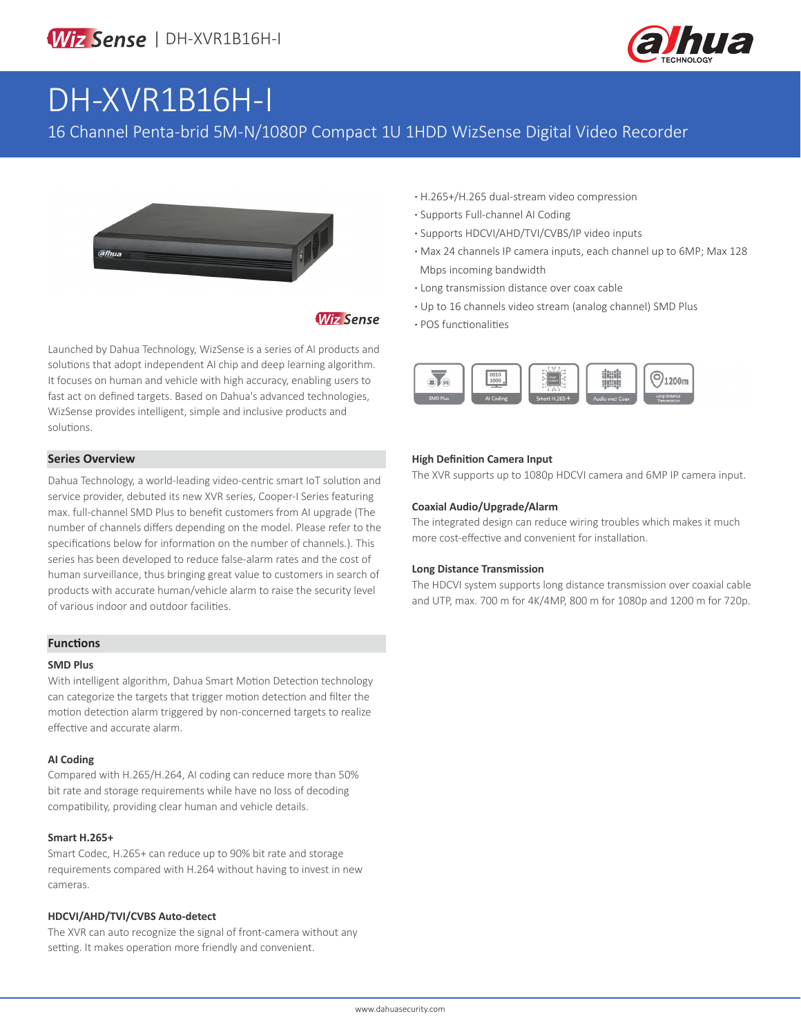

# DH-XVR1B16H-I

## 16 Channel Penta-brid 5M-N/1080P Compact 1U 1HDD WizSense Digital Video Recorder



### **Wiz Sense**

Launched by Dahua Technology, WizSense is a series of AI products and solutions that adopt independent AI chip and deep learning algorithm. It focuses on human and vehicle with high accuracy, enabling users to fast act on defined targets. Based on Dahua's advanced technologies, WizSense provides intelligent, simple and inclusive products and solutions.

#### **Series Overview**

Dahua Technology, a world-leading video-centric smart IoT solution and service provider, debuted its new XVR series, Cooper-I Series featuring max. full-channel SMD Plus to benefit customers from AI upgrade (The number of channels differs depending on the model. Please refer to the specifications below for information on the number of channels.). This series has been developed to reduce false-alarm rates and the cost of human surveillance, thus bringing great value to customers in search of products with accurate human/vehicle alarm to raise the security level of various indoor and outdoor facilities.

#### **Functions**

#### **SMD Plus**

With intelligent algorithm, Dahua Smart Motion Detection technology can categorize the targets that trigger motion detection and filter the motion detection alarm triggered by non-concerned targets to realize effective and accurate alarm.

#### **AI Coding**

Compared with H.265/H.264, AI coding can reduce more than 50% bit rate and storage requirements while have no loss of decoding compatibility, providing clear human and vehicle details.

#### **Smart H.265+**

Smart Codec, H.265+ can reduce up to 90% bit rate and storage requirements compared with H.264 without having to invest in new cameras.

#### **HDCVI/AHD/TVI/CVBS Auto-detect**

The XVR can auto recognize the signal of front-camera without any setting. It makes operation more friendly and convenient.

- **·** H.265+/H.265 dual-stream video compression
- **·** Supports Full-channel AI Coding
- **·** Supports HDCVI/AHD/TVI/CVBS/IP video inputs
- **·** Max 24 channels IP camera inputs, each channel up to 6MP; Max 128 Mbps incoming bandwidth
- **·** Long transmission distance over coax cable
- **·** Up to 16 channels video stream (analog channel) SMD Plus **·** POS functionalities



#### **High Definition Camera Input**

The XVR supports up to 1080p HDCVI camera and 6MP IP camera input.

#### **Coaxial Audio/Upgrade/Alarm**

The integrated design can reduce wiring troubles which makes it much more cost-effective and convenient for installation.

#### **Long Distance Transmission**

The HDCVI system supports long distance transmission over coaxial cable and UTP, max. 700 m for 4K/4MP, 800 m for 1080p and 1200 m for 720p.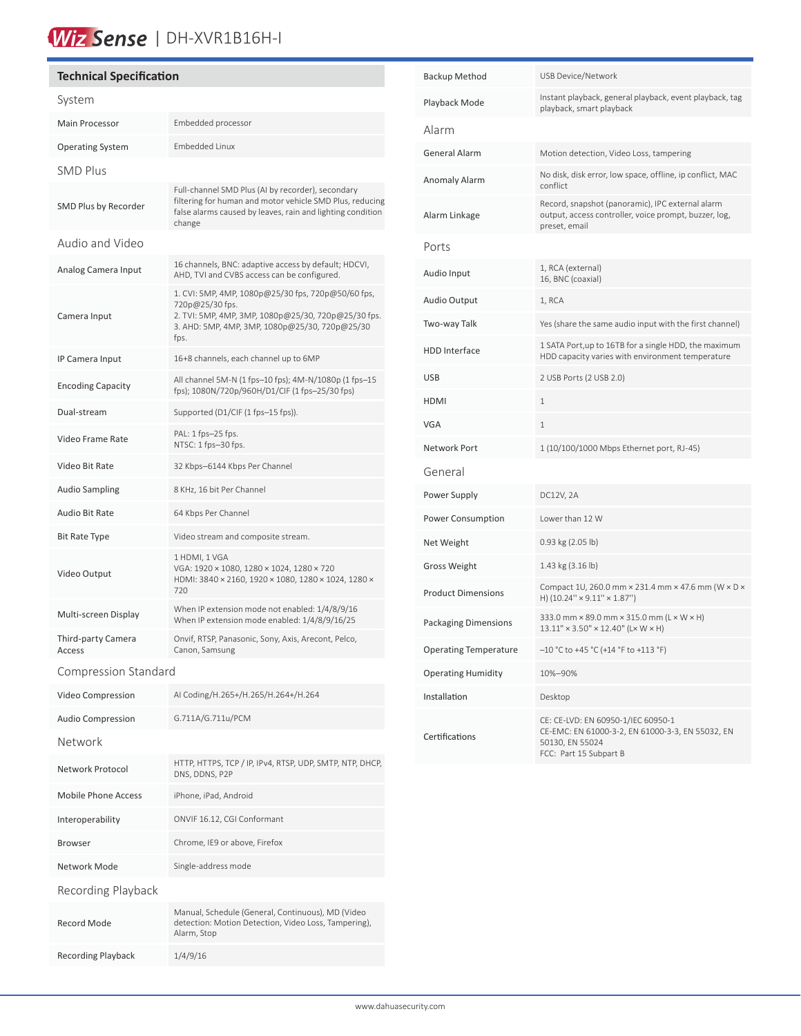## Wiz Sense | DH-XVR1B16H-I

| <b>Technical Specification</b><br>B |                                                                                                                                                                                        |                     |  |  |
|-------------------------------------|----------------------------------------------------------------------------------------------------------------------------------------------------------------------------------------|---------------------|--|--|
| System                              |                                                                                                                                                                                        |                     |  |  |
| <b>Main Processor</b>               | Embedded processor                                                                                                                                                                     | А                   |  |  |
| <b>Operating System</b>             | Embedded Linux                                                                                                                                                                         | G                   |  |  |
| <b>SMD Plus</b>                     |                                                                                                                                                                                        | Α                   |  |  |
| SMD Plus by Recorder                | Full-channel SMD Plus (AI by recorder), secondary<br>filtering for human and motor vehicle SMD Plus, reducing<br>false alarms caused by leaves, rain and lighting condition<br>change  | Α                   |  |  |
| Audio and Video                     |                                                                                                                                                                                        | P                   |  |  |
| Analog Camera Input                 | 16 channels, BNC: adaptive access by default; HDCVI,<br>AHD, TVI and CVBS access can be configured.                                                                                    | Α                   |  |  |
| Camera Input                        | 1. CVI: 5MP, 4MP, 1080p@25/30 fps, 720p@50/60 fps,<br>720p@25/30 fps.<br>2. TVI: 5MP, 4MP, 3MP, 1080p@25/30, 720p@25/30 fps.<br>3. AHD: 5MP, 4MP, 3MP, 1080p@25/30, 720p@25/30<br>fps. | Α<br>Т١             |  |  |
| IP Camera Input                     | 16+8 channels, each channel up to 6MP                                                                                                                                                  | Η                   |  |  |
| <b>Encoding Capacity</b>            | All channel 5M-N (1 fps-10 fps); 4M-N/1080p (1 fps-15<br>fps); 1080N/720p/960H/D1/CIF (1 fps-25/30 fps)                                                                                | U<br>H              |  |  |
| Dual-stream                         | Supported (D1/CIF (1 fps-15 fps)).                                                                                                                                                     | V                   |  |  |
| Video Frame Rate                    | PAL: 1 fps-25 fps.<br>NTSC: 1 fps-30 fps.                                                                                                                                              | N                   |  |  |
| Video Bit Rate                      | 32 Kbps-6144 Kbps Per Channel                                                                                                                                                          | G                   |  |  |
| <b>Audio Sampling</b>               | 8 KHz, 16 bit Per Channel                                                                                                                                                              | P <sub>0</sub>      |  |  |
| Audio Bit Rate                      | 64 Kbps Per Channel                                                                                                                                                                    | P <sub>0</sub>      |  |  |
| Bit Rate Type                       | Video stream and composite stream.                                                                                                                                                     | N                   |  |  |
| Video Output                        | 1 HDMI, 1 VGA<br>VGA: 1920 × 1080, 1280 × 1024, 1280 × 720<br>HDMI: 3840 × 2160, 1920 × 1080, 1280 × 1024, 1280 ×<br>720                                                               | G<br>P <sub>1</sub> |  |  |
| Multi-screen Display                | When IP extension mode not enabled: 1/4/8/9/16<br>When IP extension mode enabled: 1/4/8/9/16/25                                                                                        | P.                  |  |  |
| Third-party Camera<br>Access        | Onvif, RTSP, Panasonic, Sony, Axis, Arecont, Pelco,<br>Canon, Samsung                                                                                                                  | 0                   |  |  |
| <b>Compression Standard</b><br>0    |                                                                                                                                                                                        |                     |  |  |
| Video Compression                   | AI Coding/H.265+/H.265/H.264+/H.264                                                                                                                                                    | In                  |  |  |
| <b>Audio Compression</b>            | G.711A/G.711u/PCM                                                                                                                                                                      |                     |  |  |
| <b>Network</b>                      |                                                                                                                                                                                        | C                   |  |  |
| Network Protocol                    | HTTP, HTTPS, TCP / IP, IPv4, RTSP, UDP, SMTP, NTP, DHCP,<br>DNS, DDNS, P2P                                                                                                             |                     |  |  |
| <b>Mobile Phone Access</b>          | iPhone, iPad, Android                                                                                                                                                                  |                     |  |  |
| Interoperability                    | ONVIF 16.12, CGI Conformant                                                                                                                                                            |                     |  |  |
| <b>Browser</b>                      | Chrome, IE9 or above, Firefox                                                                                                                                                          |                     |  |  |
| Network Mode                        | Single-address mode                                                                                                                                                                    |                     |  |  |
| Recording Playback                  |                                                                                                                                                                                        |                     |  |  |
| Record Mode                         | Manual, Schedule (General, Continuous), MD (Video<br>detection: Motion Detection, Video Loss, Tampering),<br>Alarm, Stop                                                               |                     |  |  |
| <b>Recording Playback</b>           | 1/4/9/16                                                                                                                                                                               |                     |  |  |

| Backup Method             | <b>USB Device/Network</b>                                                                                                           |
|---------------------------|-------------------------------------------------------------------------------------------------------------------------------------|
| Playback Mode             | Instant playback, general playback, event playback, tag<br>playback, smart playback                                                 |
| Alarm                     |                                                                                                                                     |
| General Alarm             | Motion detection, Video Loss, tampering                                                                                             |
| Anomaly Alarm             | No disk, disk error, low space, offline, ip conflict, MAC<br>conflict                                                               |
| Alarm Linkage             | Record, snapshot (panoramic), IPC external alarm<br>output, access controller, voice prompt, buzzer, log,<br>preset, email          |
| Ports                     |                                                                                                                                     |
| Audio Input               | 1, RCA (external)<br>16, BNC (coaxial)                                                                                              |
| Audio Output              | 1, RCA                                                                                                                              |
| Two-way Talk              | Yes (share the same audio input with the first channel)                                                                             |
| HDD Interface             | 1 SATA Port, up to 16TB for a single HDD, the maximum<br>HDD capacity varies with environment temperature                           |
| USB                       | 2 USB Ports (2 USB 2.0)                                                                                                             |
| HDMI                      | 1                                                                                                                                   |
| VGA                       | 1                                                                                                                                   |
| Network Port              | 1 (10/100/1000 Mbps Ethernet port, RJ-45)                                                                                           |
| General                   |                                                                                                                                     |
| Power Supply              | DC12V, 2A                                                                                                                           |
| Power Consumption         | Lower than 12 W                                                                                                                     |
| Net Weight                | 0.93 kg (2.05 lb)                                                                                                                   |
| Gross Weight              | 1.43 kg (3.16 lb)                                                                                                                   |
| <b>Product Dimensions</b> | Compact 1U, 260.0 mm × 231.4 mm × 47.6 mm (W × D ×<br>H) (10.24" × 9.11" × 1.87")                                                   |
| Packaging Dimensions      | 333.0 mm × 89.0 mm × 315.0 mm (L × W × H)<br>$13.11'' \times 3.50'' \times 12.40''$ (L×W × H)                                       |
| Operating Temperature     | -10 °C to +45 °C (+14 °F to +113 °F)                                                                                                |
| Operating Humidity        | 10%-90%                                                                                                                             |
| Installation              | Desktop                                                                                                                             |
| Certifications            | CE: CE-LVD: EN 60950-1/IEC 60950-1<br>CE-EMC: EN 61000-3-2, EN 61000-3-3, EN 55032, EN<br>50130, EN 55024<br>FCC: Part 15 Subpart B |